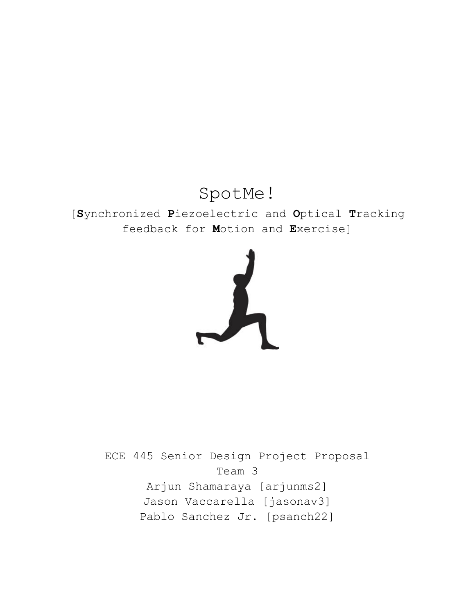# SpotMe!

### [**S**ynchronized **P**iezoelectric and **O**ptical **T**racking feedback for **M**otion and **E**xercise]



ECE 445 Senior Design Project Proposal Team 3 Arjun Shamaraya [arjunms2] Jason Vaccarella [jasonav3] Pablo Sanchez Jr. [psanch22]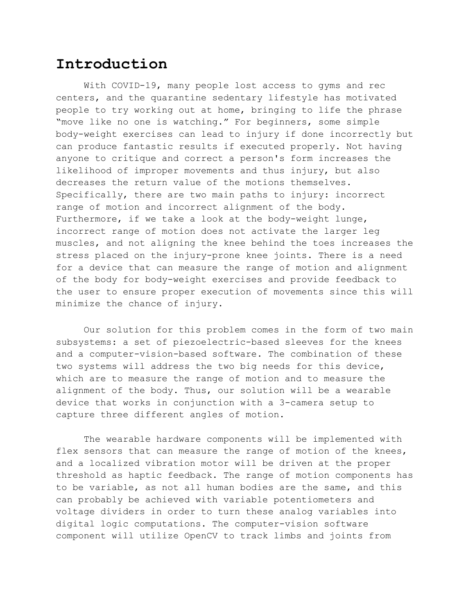### **Introduction**

With COVID-19, many people lost access to gyms and rec centers, and the quarantine sedentary lifestyle has motivated people to try working out at home, bringing to life the phrase "move like no one is watching." For beginners, some simple body-weight exercises can lead to injury if done incorrectly but can produce fantastic results if executed properly. Not having anyone to critique and correct a person's form increases the likelihood of improper movements and thus injury, but also decreases the return value of the motions themselves. Specifically, there are two main paths to injury: incorrect range of motion and incorrect alignment of the body. Furthermore, if we take a look at the body-weight lunge, incorrect range of motion does not activate the larger leg muscles, and not aligning the knee behind the toes increases the stress placed on the injury-prone knee joints. There is a need for a device that can measure the range of motion and alignment of the body for body-weight exercises and provide feedback to the user to ensure proper execution of movements since this will minimize the chance of injury.

Our solution for this problem comes in the form of two main subsystems: a set of piezoelectric-based sleeves for the knees and a computer-vision-based software. The combination of these two systems will address the two big needs for this device, which are to measure the range of motion and to measure the alignment of the body. Thus, our solution will be a wearable device that works in conjunction with a 3-camera setup to capture three different angles of motion.

The wearable hardware components will be implemented with flex sensors that can measure the range of motion of the knees, and a localized vibration motor will be driven at the proper threshold as haptic feedback. The range of motion components has to be variable, as not all human bodies are the same, and this can probably be achieved with variable potentiometers and voltage dividers in order to turn these analog variables into digital logic computations. The computer-vision software component will utilize OpenCV to track limbs and joints from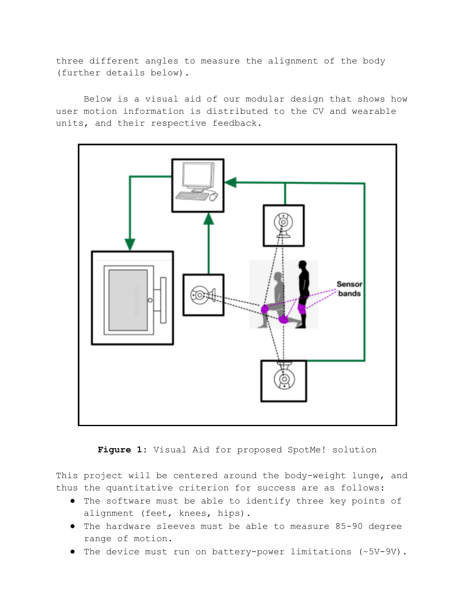three different angles to measure the alignment of the body (further details below).

Below is a visual aid of our modular design that shows how user motion information is distributed to the CV and wearable units, and their respective feedback.



Figure 1: Visual Aid for proposed SpotMe! solution

This project will be centered around the body-weight lunge, and thus the quantitative criterion for success are as follows:

- The software must be able to identify three key points of alignment (feet, knees, hips).
- The hardware sleeves must be able to measure 85-90 degree range of motion.
- The device must run on battery-power limitations (~5V-9V).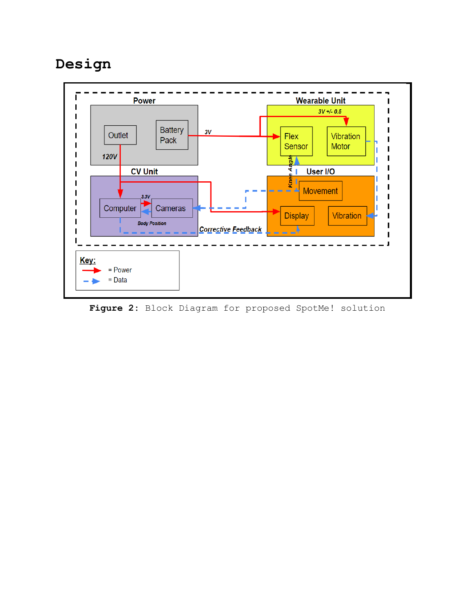## **Design**



**Figure 2:** Block Diagram for proposed SpotMe! solution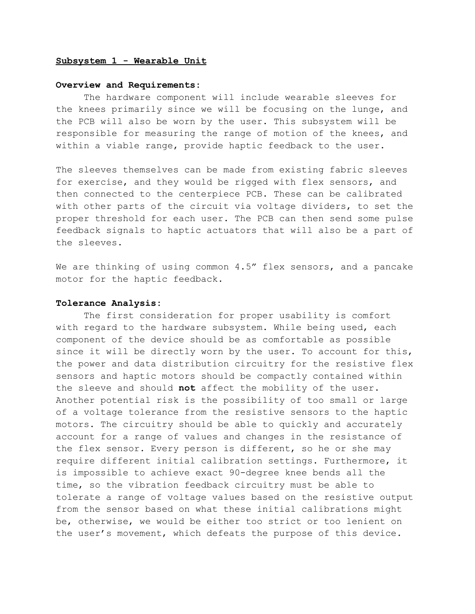#### **Subsystem 1 - Wearable Unit**

#### **Overview and Requirements:**

The hardware component will include wearable sleeves for the knees primarily since we will be focusing on the lunge, and the PCB will also be worn by the user. This subsystem will be responsible for measuring the range of motion of the knees, and within a viable range, provide haptic feedback to the user.

The sleeves themselves can be made from existing fabric sleeves for exercise, and they would be rigged with flex sensors, and then connected to the centerpiece PCB. These can be calibrated with other parts of the circuit via voltage dividers, to set the proper threshold for each user. The PCB can then send some pulse feedback signals to haptic actuators that will also be a part of the sleeves.

We are thinking of using common 4.5" flex sensors, and a pancake motor for the haptic feedback.

#### **Tolerance Analysis:**

The first consideration for proper usability is comfort with regard to the hardware subsystem. While being used, each component of the device should be as comfortable as possible since it will be directly worn by the user. To account for this, the power and data distribution circuitry for the resistive flex sensors and haptic motors should be compactly contained within the sleeve and should **not** affect the mobility of the user. Another potential risk is the possibility of too small or large of a voltage tolerance from the resistive sensors to the haptic motors. The circuitry should be able to quickly and accurately account for a range of values and changes in the resistance of the flex sensor. Every person is different, so he or she may require different initial calibration settings. Furthermore, it is impossible to achieve exact 90-degree knee bends all the time, so the vibration feedback circuitry must be able to tolerate a range of voltage values based on the resistive output from the sensor based on what these initial calibrations might be, otherwise, we would be either too strict or too lenient on the user's movement, which defeats the purpose of this device.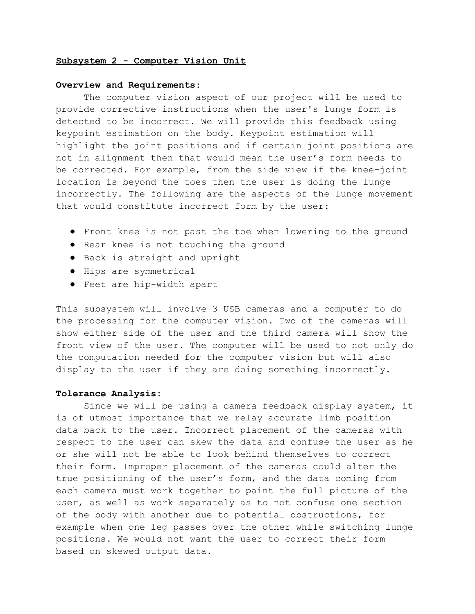#### **Subsystem 2 - Computer Vision Unit**

#### **Overview and Requirements:**

The computer vision aspect of our project will be used to provide corrective instructions when the user's lunge form is detected to be incorrect. We will provide this feedback using keypoint estimation on the body. Keypoint estimation will highlight the joint positions and if certain joint positions are not in alignment then that would mean the user's form needs to be corrected. For example, from the side view if the knee-joint location is beyond the toes then the user is doing the lunge incorrectly. The following are the aspects of the lunge movement that would constitute incorrect form by the user:

- Front knee is not past the toe when lowering to the ground
- Rear knee is not touching the ground
- Back is straight and upright
- Hips are symmetrical
- Feet are hip-width apart

This subsystem will involve 3 USB cameras and a computer to do the processing for the computer vision. Two of the cameras will show either side of the user and the third camera will show the front view of the user. The computer will be used to not only do the computation needed for the computer vision but will also display to the user if they are doing something incorrectly.

#### **Tolerance Analysis:**

Since we will be using a camera feedback display system, it is of utmost importance that we relay accurate limb position data back to the user. Incorrect placement of the cameras with respect to the user can skew the data and confuse the user as he or she will not be able to look behind themselves to correct their form. Improper placement of the cameras could alter the true positioning of the user's form, and the data coming from each camera must work together to paint the full picture of the user, as well as work separately as to not confuse one section of the body with another due to potential obstructions, for example when one leg passes over the other while switching lunge positions. We would not want the user to correct their form based on skewed output data.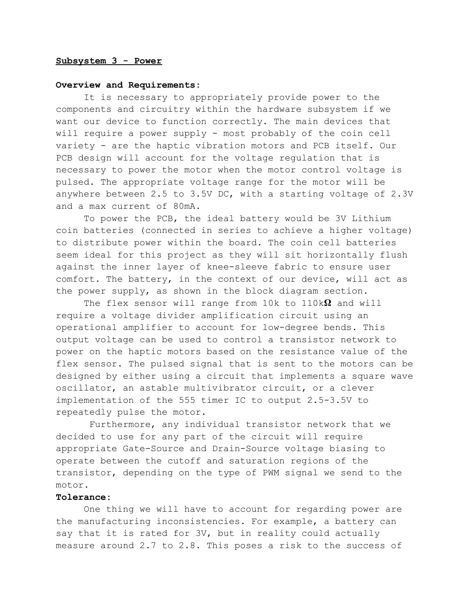#### **Subsystem 3 - Power**

#### **Overview and Requirements:**

It is necessary to appropriately provide power to the components and circuitry within the hardware subsystem if we want our device to function correctly. The main devices that will require a power supply - most probably of the coin cell variety - are the haptic vibration motors and PCB itself. Our PCB design will account for the voltage regulation that is necessary to power the motor when the motor control voltage is pulsed. The appropriate voltage range for the motor will be anywhere between 2.5 to 3.5V DC, with a starting voltage of 2.3V and a max current of 80mA.

To power the PCB, the ideal battery would be 3V Lithium coin batteries (connected in series to achieve a higher voltage) to distribute power within the board. The coin cell batteries seem ideal for this project as they will sit horizontally flush against the inner layer of knee-sleeve fabric to ensure user comfort. The battery, in the context of our device, will act as the power supply, as shown in the block diagram section.

The flex sensor will range from 10k to 110k $\Omega$  and will require a voltage divider amplification circuit using an operational amplifier to account for low-degree bends. This output voltage can be used to control a transistor network to power on the haptic motors based on the resistance value of the flex sensor. The pulsed signal that is sent to the motors can be designed by either using a circuit that implements a square wave oscillator, an astable multivibrator circuit, or a clever implementation of the 555 timer IC to output 2.5-3.5V to repeatedly pulse the motor.

Furthermore, any individual transistor network that we decided to use for any part of the circuit will require appropriate Gate-Source and Drain-Source voltage biasing to operate between the cutoff and saturation regions of the transistor, depending on the type of PWM signal we send to the motor.

#### **Tolerance:**

One thing we will have to account for regarding power are the manufacturing inconsistencies. For example, a battery can say that it is rated for 3V, but in reality could actually measure around 2.7 to 2.8. This poses a risk to the success of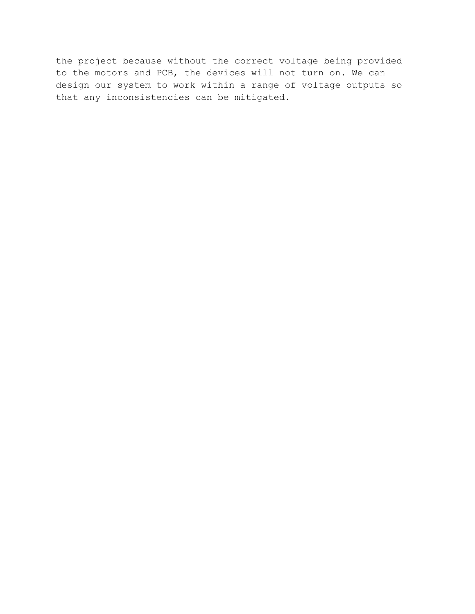the project because without the correct voltage being provided to the motors and PCB, the devices will not turn on. We can design our system to work within a range of voltage outputs so that any inconsistencies can be mitigated.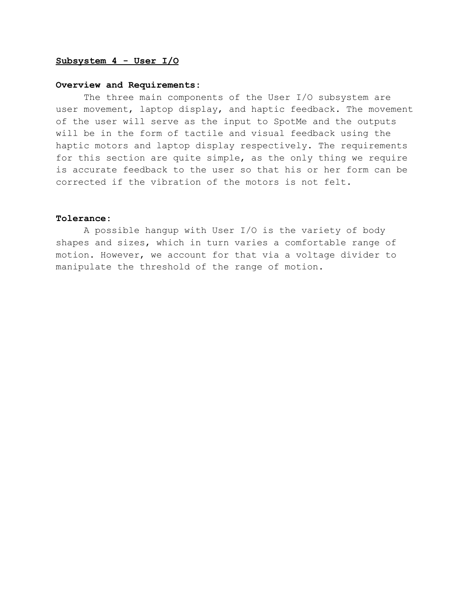#### **Subsystem 4 - User I/O**

#### **Overview and Requirements:**

The three main components of the User I/O subsystem are user movement, laptop display, and haptic feedback. The movement of the user will serve as the input to SpotMe and the outputs will be in the form of tactile and visual feedback using the haptic motors and laptop display respectively. The requirements for this section are quite simple, as the only thing we require is accurate feedback to the user so that his or her form can be corrected if the vibration of the motors is not felt.

#### **Tolerance:**

A possible hangup with User I/O is the variety of body shapes and sizes, which in turn varies a comfortable range of motion. However, we account for that via a voltage divider to manipulate the threshold of the range of motion.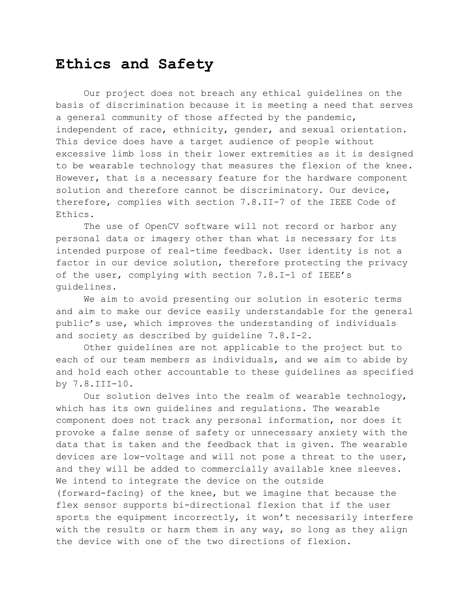### **Ethics and Safety**

Our project does not breach any ethical guidelines on the basis of discrimination because it is meeting a need that serves a general community of those affected by the pandemic, independent of race, ethnicity, gender, and sexual orientation. This device does have a target audience of people without excessive limb loss in their lower extremities as it is designed to be wearable technology that measures the flexion of the knee. However, that is a necessary feature for the hardware component solution and therefore cannot be discriminatory. Our device, therefore, complies with section 7.8.II-7 of the IEEE Code of Ethics.

The use of OpenCV software will not record or harbor any personal data or imagery other than what is necessary for its intended purpose of real-time feedback. User identity is not a factor in our device solution, therefore protecting the privacy of the user, complying with section 7.8.I-1 of IEEE's guidelines.

We aim to avoid presenting our solution in esoteric terms and aim to make our device easily understandable for the general public's use, which improves the understanding of individuals and society as described by guideline 7.8.I-2.

Other guidelines are not applicable to the project but to each of our team members as individuals, and we aim to abide by and hold each other accountable to these guidelines as specified by 7.8.III-10.

Our solution delves into the realm of wearable technology, which has its own guidelines and regulations. The wearable component does not track any personal information, nor does it provoke a false sense of safety or unnecessary anxiety with the data that is taken and the feedback that is given. The wearable devices are low-voltage and will not pose a threat to the user, and they will be added to commercially available knee sleeves. We intend to integrate the device on the outside (forward-facing) of the knee, but we imagine that because the flex sensor supports bi-directional flexion that if the user sports the equipment incorrectly, it won't necessarily interfere with the results or harm them in any way, so long as they align the device with one of the two directions of flexion.